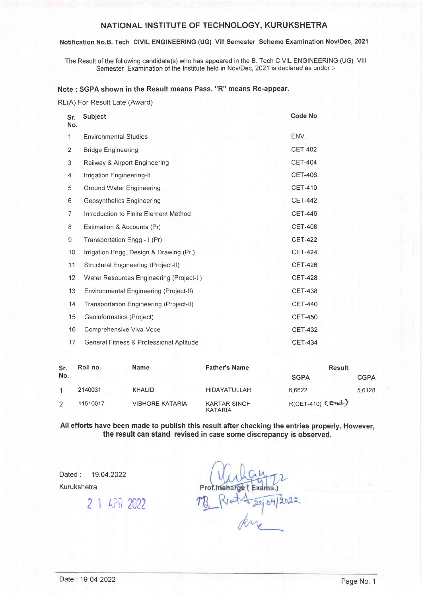### NATIONAL INSTITUTE OF TECHNOLOGY, KURUKSHETRA

#### Notification No.B. Tech CIVIL ENGINEERING (UG) Vlll Semester Scheme Examination Nov/Dec, 2021

The Result of the following candidate(s) who has appeared in the B. Tech CIVIL ENGINEERING (UG) Vlll Semester Examination of the Institute held in Nov/Dec, 2021 is declared as under :-

### Note : SGPA shown in the Result means Pass. "R" means Re-appear.

RL(A) For Result Late (Award)

| Sr.<br>No. | Subject                                  | <b>Code No</b> |
|------------|------------------------------------------|----------------|
| 1          | <b>Environmental Studies</b>             | ENV.           |
| 2          | <b>Bridge Engineering</b>                | <b>CET-402</b> |
| 3          | Railway & Airport Engineering            | <b>CET-404</b> |
| 4          | Irrigation Engineering-II                | CET-406.       |
| 5          | Ground Water Engineering                 | <b>CET-410</b> |
| 6          | Geosynthetics Engineering                | <b>CET-442</b> |
| 7          | Introduction to Finite Element Method    | <b>CET-446</b> |
| 8          | Estimation & Accounts (Pr)               | <b>CET-408</b> |
| 9          | Transportation Engg.-II (Pr)             | <b>CET-422</b> |
| 10         | Irrigation Engg. Design & Drawing (Pr.)  | CET-424.       |
| 11         | Structural Engineering (Project-II)      | <b>CET-426</b> |
| 12         | Water Resources Engineering (Project-II) | <b>CET-428</b> |
| 13         | Environmental Engineering (Project-II)   | <b>CET-438</b> |
| 14         | Transportation Engineering (Project-II)  | <b>CET-440</b> |
| 15         | Geoinformatics (Project)                 | CET-450.       |
| 16         | Comprehensive Viva-Voce                  | <b>CET-432</b> |
| 17         | General Fitness & Professional Aptitude  | <b>CET-434</b> |

| Sr.<br>No. | Roll no. | Name                   | <b>Father's Name</b>                  | Result              |             |  |
|------------|----------|------------------------|---------------------------------------|---------------------|-------------|--|
|            |          |                        |                                       | <b>SGPA</b>         | <b>CGPA</b> |  |
|            | 2140031  | <b>KHALID</b>          | <b>HIDAYATULLAH</b>                   | 6.6622              | 5.6128      |  |
|            | 11510017 | <b>VIBHORE KATARIA</b> | <b>KARTAR SINGH</b><br><b>KATARIA</b> | $R(CET-410)$ (End.) |             |  |

All efforts have been made to publish this result after checking the entries properly. However the result can stand revised in case some discrepancy is observed.

Dated: 19.04.2022

Kurukshetra

2 1 APrl <sup>2022</sup>

(xams.)